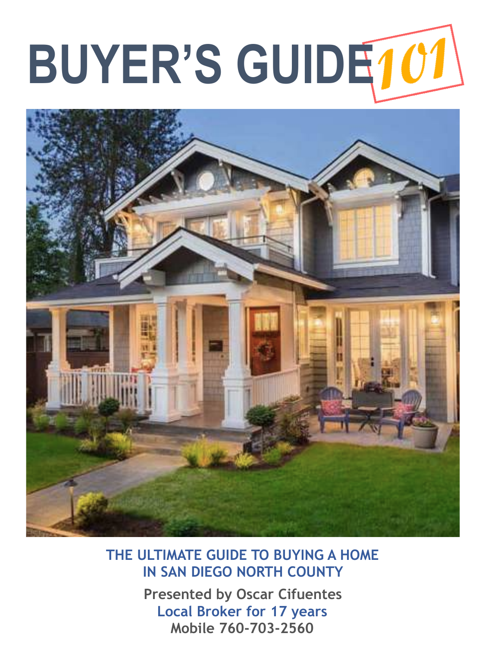# **BUYER'S GUIDE**



**THE ULTIMATE GUIDE TO BUYING A HOME IN SAN DIEGO NORTH COUNTY** 

> **Presented by Oscar Cifuentes Local Broker for 17 years Mobile 760-703-2560**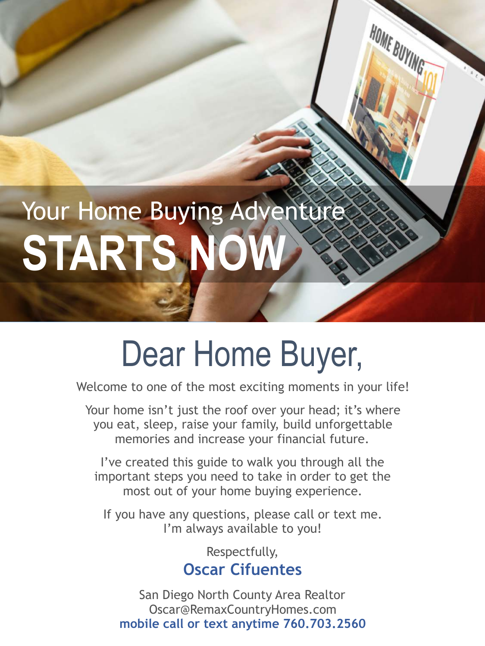# Your Home Buying Adventure **STARTS NC**

### Dear Home Buyer,

HOME BUYING

Welcome to one of the most exciting moments in your life!

Your home isn't just the roof over your head; it's where you eat, sleep, raise your family, build unforgettable memories and increase your financial future.

I've created this guide to walk you through all the important steps you need to take in order to get the most out of your home buying experience.

If you have any questions, please call or text me. I'm always available to you!

> Respectfully, **Oscar Cifuentes**

San Diego North County Area Realtor Oscar@RemaxCountryHomes.com **mobile call or text anytime 760.703.2560**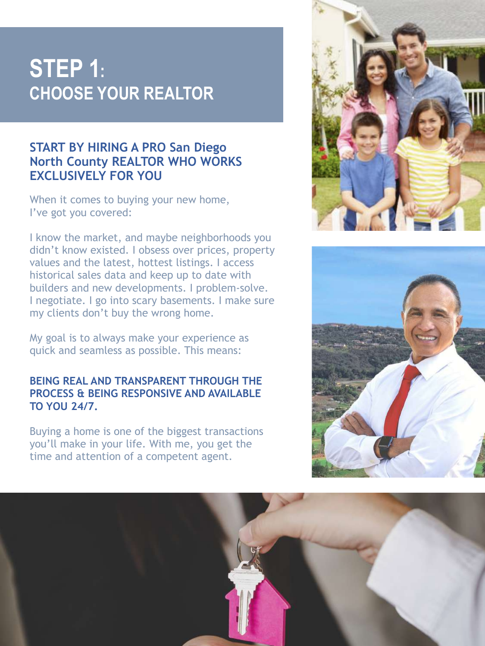### **STEP 1: CHOOSE YOUR REALTOR**

### **START BY HIRING A PRO San Diego North County REALTOR WHO WORKS EXCLUSIVELY FOR YOU**

When it comes to buying your new home, I've got you covered:

I know the market, and maybe neighborhoods you didn't know existed. I obsess over prices, property values and the latest, hottest listings. I access historical sales data and keep up to date with builders and new developments. I problem-solve. I negotiate. I go into scary basements. I make sure my clients don't buy the wrong home.

My goal is to always make your experience as quick and seamless as possible. This means:

#### **BEING REAL AND TRANSPARENT THROUGH THE PROCESS & BEING RESPONSIVE AND AVAILABLE TO YOU 24/7.**

Buying a home is one of the biggest transactions you'll make in your life. With me, you get the time and attention of a competent agent.





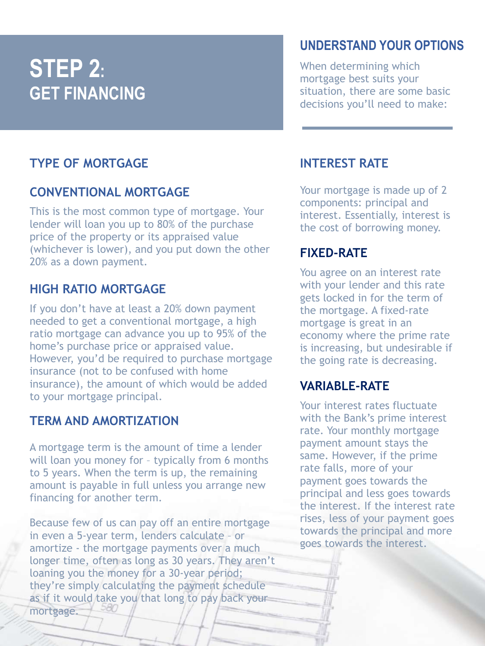### **STEP 2: GET FINANCING**

### **TYPE OF MORTGAGE**

### **CONVENTIONAL MORTGAGE**

This is the most common type of mortgage. Your lender will loan you up to 80% of the purchase price of the property or its appraised value (whichever is lower), and you put down the other 20% as a down payment.

### **HIGH RATIO MORTGAGE**

If you don't have at least a 20% down payment needed to get a conventional mortgage, a high ratio mortgage can advance you up to 95% of the home's purchase price or appraised value. However, you'd be required to purchase mortgage insurance (not to be confused with home insurance), the amount of which would be added to your mortgage principal.

### **TERM AND AMORTIZATION**

A mortgage term is the amount of time a lender will loan you money for – typically from 6 months to 5 years. When the term is up, the remaining amount is payable in full unless you arrange new financing for another term.

Because few of us can pay off an entire mortgage in even a 5-year term, lenders calculate – or amortize - the mortgage payments over a much longer time, often as long as 30 years. They aren't loaning you the money for a 30-year period; they're simply calculating the payment schedule as if it would take you that long to pay back your mortgage.

### **UNDERSTAND YOUR OPTIONS**

When determining which mortgage best suits your situation, there are some basic decisions you'll need to make:

### **INTEREST RATE**

Your mortgage is made up of 2 components: principal and interest. Essentially, interest is the cost of borrowing money.

### **FIXED-RATE**

You agree on an interest rate with your lender and this rate gets locked in for the term of the mortgage. A fixed-rate mortgage is great in an economy where the prime rate is increasing, but undesirable if the going rate is decreasing.

### **VARIABLE-RATE**

Your interest rates fluctuate with the Bank's prime interest rate. Your monthly mortgage payment amount stays the same. However, if the prime rate falls, more of your payment goes towards the principal and less goes towards the interest. If the interest rate rises, less of your payment goes towards the principal and more goes towards the interest.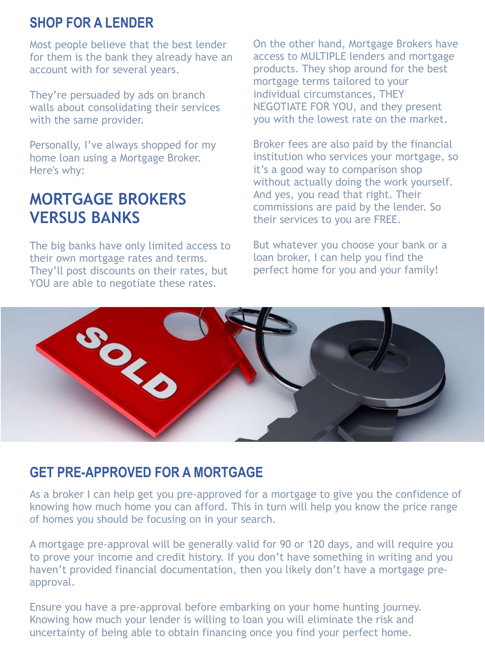### **SHOP FOR A LENDER**

Most people believe that the best lender for them is the bank they already have an account with for several years.

They're persuaded by ads on branch walls about consolidating their services with the same provider.

Personally, I've always shopped for my home loan using a Mortgage Broker. Here's why:

### **MORTGAGE BROKERS VERSUS BANKS**

The big banks have only limited access to their own mortgage rates and terms. They'll post discounts on their rates, but YOU are able to negotiate these rates.

On the other hand, Mortgage Brokers have access to MULTIPLE lenders and mortgage products. They shop around for the best mortgage terms tailored to your individual circumstances, THEY NEGOTIATE FOR YOU, and they present you with the lowest rate on the market.

Broker fees are also paid by the financial institution who services your mortgage, so it's a good way to comparison shop without actually doing the work yourself. And yes, you read that right. Their commissions are paid by the lender. So their services to you are FREE.

But whatever you choose your bank or a loan broker, I can help you find the perfect home for you and your family!



### **GET PRE-APPROVED FOR A MORTGAGE**

As a broker I can help get you pre-approved for a mortgage to give you the confidence of knowing how much home you can afford. This in turn will help you know the price range of homes you should be focusing on in your search.

A mortgage pre-approval will be generally valid for 90 or 120 days, and will require you to prove your income and credit history. If you don't have something in writing and you haven't provided financial documentation, then you likely don't have a mortgage preapproval.

Ensure you have a pre-approval before embarking on your home hunting journey. Knowing how much your lender is willing to loan you will eliminate the risk and uncertainty of being able to obtain financing once you find your perfect home.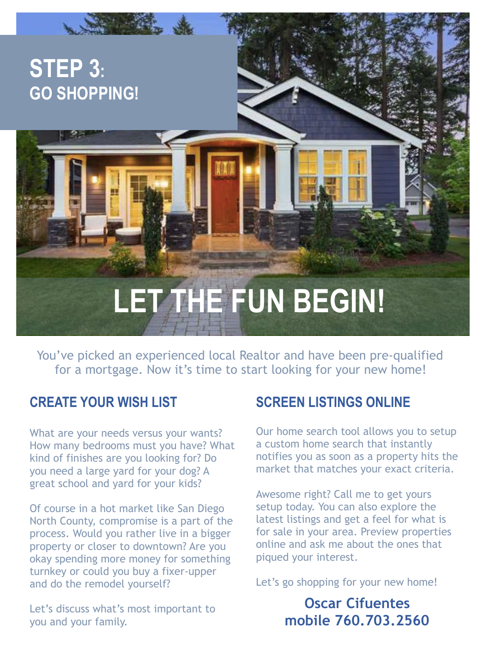# **LET THE FUN BEGIN!**

You've picked an experienced local Realtor and have been pre-qualified for a mortgage. Now it's time to start looking for your new home!

### **CREATE YOUR WISH LIST**

**STEP 3:** 

**GO SHOPPING!** 

What are your needs versus your wants? How many bedrooms must you have? What kind of finishes are you looking for? Do you need a large yard for your dog? A great school and yard for your kids?

Of course in a hot market like San Diego North County, compromise is a part of the process. Would you rather live in a bigger property or closer to downtown? Are you okay spending more money for something turnkey or could you buy a fixer-upper and do the remodel yourself?

Let's discuss what's most important to you and your family.

### **SCREEN LISTINGS ONLINE**

Our home search tool allows you to setup a custom home search that instantly notifies you as soon as a property hits the market that matches your exact criteria.

Awesome right? Call me to get yours setup today. You can also explore the latest listings and get a feel for what is for sale in your area. Preview properties online and ask me about the ones that piqued your interest.

Let's go shopping for your new home!

### **Oscar Cifuentes mobile 760.703.2560**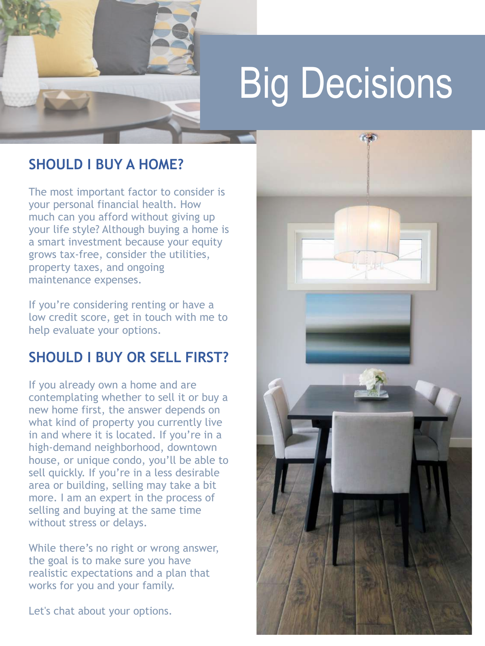

### **SHOULD I BUY A HOME?**

The most important factor to consider is your personal financial health. How much can you afford without giving up your life style? Although buying a home is a smart investment because your equity grows tax-free, consider the utilities, property taxes, and ongoing maintenance expenses.

If you're considering renting or have a low credit score, get in touch with me to help evaluate your options.

### **SHOULD I BUY OR SELL FIRST?**

If you already own a home and are contemplating whether to sell it or buy a new home first, the answer depends on what kind of property you currently live in and where it is located. If you're in a high-demand neighborhood, downtown house, or unique condo, you'll be able to sell quickly. If you're in a less desirable area or building, selling may take a bit more. I am an expert in the process of selling and buying at the same time without stress or delays.

While there's no right or wrong answer, the goal is to make sure you have realistic expectations and a plan that works for you and your family.

Let's chat about your options.

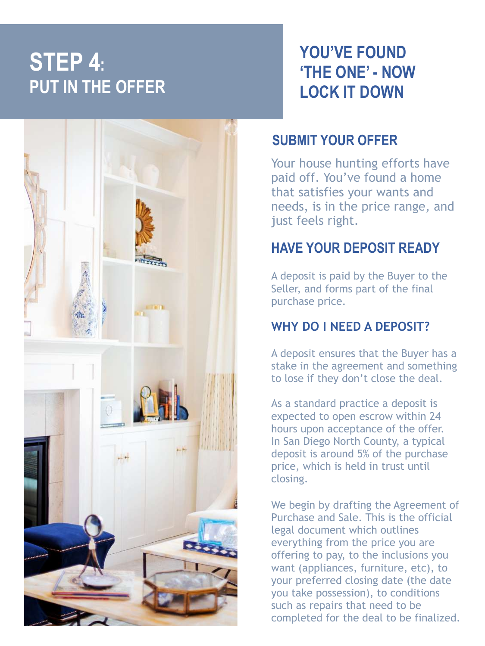### **STEP 4: PUT IN THE OFFER**



### **YOU'VE FOUND 'THE ONE' - NOW LOCK IT DOWN**

### **SUBMIT YOUR OFFER**

Your house hunting efforts have paid off. You've found a home that satisfies your wants and needs, is in the price range, and just feels right.

### **HAVE YOUR DEPOSIT READY**

A deposit is paid by the Buyer to the Seller, and forms part of the final purchase price.

### **WHY DO I NEED A DEPOSIT?**

A deposit ensures that the Buyer has a stake in the agreement and something to lose if they don't close the deal.

As a standard practice a deposit is expected to open escrow within 24 hours upon acceptance of the offer. In San Diego North County, a typical deposit is around 5% of the purchase price, which is held in trust until closing.

We begin by drafting the Agreement of Purchase and Sale. This is the official legal document which outlines everything from the price you are offering to pay, to the inclusions you want (appliances, furniture, etc), to your preferred closing date (the date you take possession), to conditions such as repairs that need to be completed for the deal to be finalized.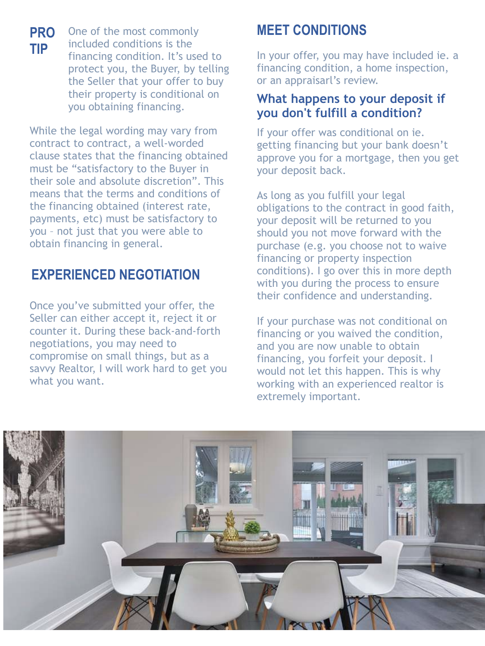One of the most commonly included conditions is the financing condition. It's used to protect you, the Buyer, by telling the Seller that your offer to buy their property is conditional on you obtaining financing.

While the legal wording may vary from contract to contract, a well-worded clause states that the financing obtained must be "satisfactory to the Buyer in their sole and absolute discretion". This means that the terms and conditions of the financing obtained (interest rate, payments, etc) must be satisfactory to you – not just that you were able to obtain financing in general.

### **EXPERIENCED NEGOTIATION**

Once you've submitted your offer, the Seller can either accept it, reject it or counter it. During these back-and-forth negotiations, you may need to compromise on small things, but as a savvy Realtor, I will work hard to get you what you want.

### **MEET CONDITIONS**

In your offer, you may have included ie. a financing condition, a home inspection, or an appraisarl's review.

### **What happens to your deposit if you don't fulfill a condition?**

If your offer was conditional on ie. getting financing but your bank doesn't approve you for a mortgage, then you get your deposit back.

As long as you fulfill your legal obligations to the contract in good faith, your deposit will be returned to you should you not move forward with the purchase (e.g. you choose not to waive financing or property inspection conditions). I go over this in more depth with you during the process to ensure their confidence and understanding.

If your purchase was not conditional on financing or you waived the condition, and you are now unable to obtain financing, you forfeit your deposit. I would not let this happen. This is why working with an experienced realtor is extremely important.